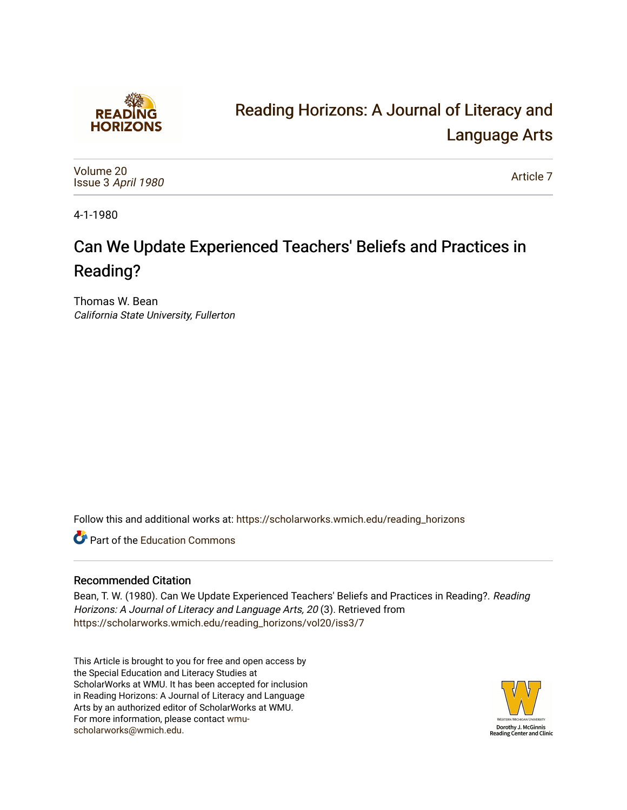

# [Reading Horizons: A Journal of Literacy and](https://scholarworks.wmich.edu/reading_horizons)  [Language Arts](https://scholarworks.wmich.edu/reading_horizons)

[Volume 20](https://scholarworks.wmich.edu/reading_horizons/vol20) Issue 3 [April 1980](https://scholarworks.wmich.edu/reading_horizons/vol20/iss3) 

[Article 7](https://scholarworks.wmich.edu/reading_horizons/vol20/iss3/7) 

4-1-1980

# Can We Update Experienced Teachers' Beliefs and Practices in Reading?

Thomas W. Bean California State University, Fullerton

Follow this and additional works at: [https://scholarworks.wmich.edu/reading\\_horizons](https://scholarworks.wmich.edu/reading_horizons?utm_source=scholarworks.wmich.edu%2Freading_horizons%2Fvol20%2Fiss3%2F7&utm_medium=PDF&utm_campaign=PDFCoverPages)

**C** Part of the [Education Commons](http://network.bepress.com/hgg/discipline/784?utm_source=scholarworks.wmich.edu%2Freading_horizons%2Fvol20%2Fiss3%2F7&utm_medium=PDF&utm_campaign=PDFCoverPages)

## Recommended Citation

Bean, T. W. (1980). Can We Update Experienced Teachers' Beliefs and Practices in Reading?. Reading Horizons: A Journal of Literacy and Language Arts, 20 (3). Retrieved from [https://scholarworks.wmich.edu/reading\\_horizons/vol20/iss3/7](https://scholarworks.wmich.edu/reading_horizons/vol20/iss3/7?utm_source=scholarworks.wmich.edu%2Freading_horizons%2Fvol20%2Fiss3%2F7&utm_medium=PDF&utm_campaign=PDFCoverPages) 

This Article is brought to you for free and open access by the Special Education and Literacy Studies at ScholarWorks at WMU. It has been accepted for inclusion in Reading Horizons: A Journal of Literacy and Language Arts by an authorized editor of ScholarWorks at WMU. For more information, please contact [wmu](mailto:wmu-scholarworks@wmich.edu)[scholarworks@wmich.edu.](mailto:wmu-scholarworks@wmich.edu)

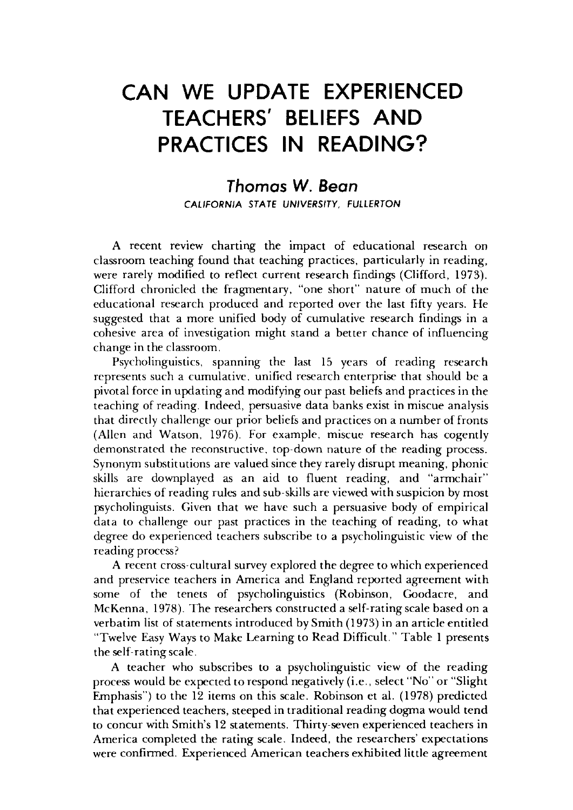# **CAN WE UPDATE EXPERIENCED TEACHERS' BELIEFS AND PRACTICES IN READING?**

### *Thomas* **W.** *Bean*  CALIFORNIA STATE UNIVERSITY, FULLERTON

A recent review charting the impact of educational research on classroom teaching found that teaching practices, particularly in reading, were rarely modified to reflect current research findings (Clifford, 1973). Clifford chronicled the fragmentary, "one short" nature of much of the educational research produced and reported over the last fifty years. He suggested that a more unified body of cumulative research findings in a cohesive area of investigation might stand a better chance of influencing change in the classroom.

Psycholinguistics, spanning the last 15 years of reading research represents such a cumulative, unified research enterprise that should be a pivotal force in updating and modifying our past beliefs and practices in the teaching of reading. Indeed, persuasive data banks exist in miscue analysis that directly challenge our prior beliefs and practices on a number of fronts (Allen and Watson, 1976). For example, miscue research has cogently demonstrated the reconstructive, top-down nature of the reading process. Synonym substitutions are valued since they rarely disrupt meaning, phonic skills are downplayed as an aid to fluent reading, and "armchair" hierarchies of reading rules and sub-skills are viewed with suspicion by most psycholinguists. Given that we have such a persuasive body of empirical data to challenge our past practices in the teaching of reading, to what degree do experienced teachers subscribe to a psycholinguistic view of the reading process?

A recent cross-cultural survey explored the degree to which experienced and preservice teachers in America and England reported agreement with some of the tenets of psycholinguistics (Robinson, Goodacre, and McKenna, 1978). The researchers constructed a self-rating scale based on a verbatim list of statements introduced by Smith (1973) in an article entitled "Twelve Easy Ways to Make Learning to Read Difficult." Table 1 presents the self-rating scale.

A teacher who subscribes to a psycholinguistic view of the reading process would be expected to respond negatively (i.e., select "No" or "Slight Emphasis") to the 12 items on this scale. Robinson et al. (1978) predicted that experienced teachers, steeped in traditional reading dogma would tend to concur with Smith's 12 statements. Thirty-seven experienced teachers in America completed the rating scale. Indeed, the researchers' expectations were confirmed. Experienced American teachers exhibited little agreement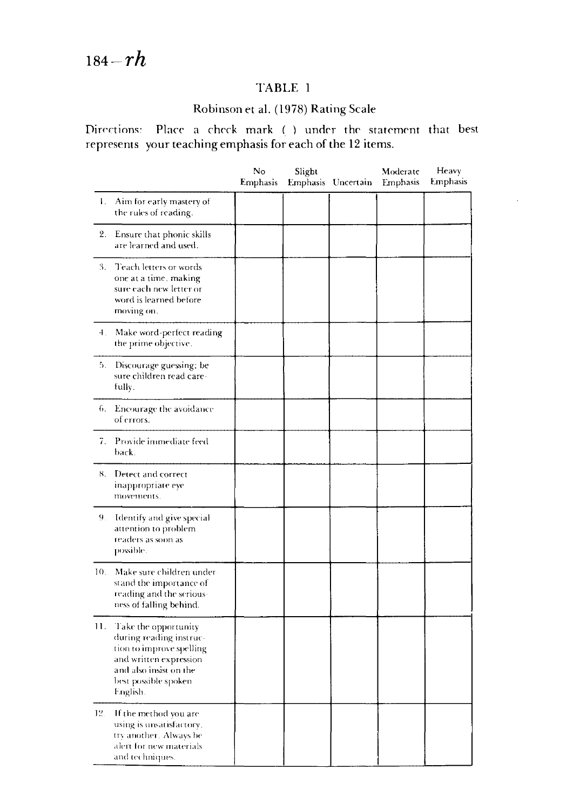## TABLE 1

### Robinson et a1. (1978) Rating Scale

Directions: Place a check mark ( ) under the statement that best represents your teaching emphasis for each of the 12 items,

|     |                                                                                                                                                                     | No<br><b>Emphasis</b> | Slight | Emphasis Uncertain | Moderate<br>Emphasis | Heavy<br>Emphasis |
|-----|---------------------------------------------------------------------------------------------------------------------------------------------------------------------|-----------------------|--------|--------------------|----------------------|-------------------|
| Ι.  | Aim for early mastery of<br>the rules of reading.                                                                                                                   |                       |        |                    |                      |                   |
| 2.  | Ensure that phonic skills<br>are learned and used.                                                                                                                  |                       |        |                    |                      |                   |
| 3.  | Teach letters or words<br>one at a time, making<br>sure each new letter or<br>word is learned before<br>moving on.                                                  |                       |        |                    |                      |                   |
| 4.  | Make word-perfect reading<br>the prime objective.                                                                                                                   |                       |        |                    |                      |                   |
| 5.  | Discourage guessing; be<br>sure children read care-<br>fully.                                                                                                       |                       |        |                    |                      |                   |
| 6.  | Encourage the avoidance<br>of errors.                                                                                                                               |                       |        |                    |                      |                   |
| 7.  | Provide immediate feed<br>back.                                                                                                                                     |                       |        |                    |                      |                   |
| 8.  | Detect and correct<br>inappropriate eye<br>movements.                                                                                                               |                       |        |                    |                      |                   |
| 9.  | Identify and give special<br>attention to problem<br>readers as soon as<br>possible.                                                                                |                       |        |                    |                      |                   |
| 10. | Make sure children under-<br>stand the importance of<br>reading and the serious-<br>ness of falling behind.                                                         |                       |        |                    |                      |                   |
| 11. | Take the opportunity<br>during reading instruc-<br>tion to improve spelling<br>and written expression<br>and also insist on the<br>best possible spoken<br>English. |                       |        |                    |                      |                   |
| 12. | If the method you are<br>using is unsatisfactory.<br>try another. Always be<br>alert for new materials<br>and techniques.                                           |                       |        |                    |                      |                   |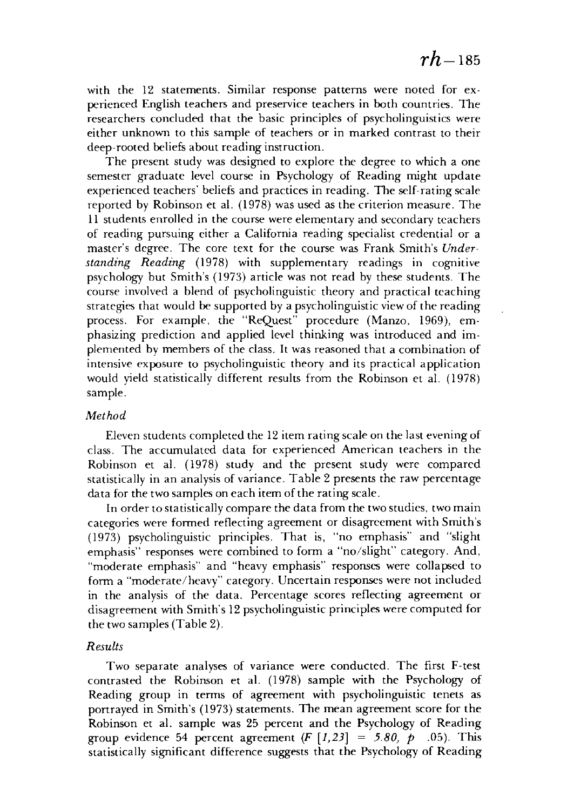with the 12 statements. Similar response patterns were noted for experienced English teachers and preservice teachers in both countries. The researchers concluded that the basic principles of psycholinguistics were either unknown to this sample of teachers or in marked contrast to their deep-rooted beliefs about reading instruction.

The present study was designed to explore the degree to which a one semester graduate level course in Psychology of Reading might update experienced teachers' beliefs and practices in reading. The self-rating scale reported by Robinson et al. (1978) was used as the criterion measure. The 11 students enrolled in the course were elementary and secondary teachers of reading pursuing either a California reading specialist credential or a master's degree. The core text for the course was Frank Smith's *Understanding Reading* (1978) with supplementary readings in cognitive psychology but Smith's (1973) article was not read by these students. The course involved a blend of psycholinguistic theory and practical teaching strategies that would be supported by a psycholinguistic view of the reading process. For example, the "ReQuest" procedure (Manzo, 1969), emphasizing prediction and applied level thinking was introduced and implemented by members of the class. It was reasoned that a combination of intensive exposure to psycholinguistic theory and its practical application would yield statistically different results from the Robinson et al. (1978) sample.

#### *Method*

Eleven students completed the 12 item rating scale on the last evening of class. The accumulated data for experienced American teachers in the Robinson et al. (1978) study and the present study were compared statistically in an analysis of variance. Table 2 presents the raw percentage data for the two samples on each item of the rating scale.

In order to statistically compare the data from the two studies, two main categories were formed reflecting agreement or disagreement with Smith's (1973) psycholinguistic principles. That is, "no emphasis" and "slight emphasis" responses were combined to form a "no/slight" category. And, "moderate emphasis" and "heavy emphasis" responses were collapsed to form a "moderate/heavy" category. Uncertain responses were not included in the analysis of the data. Percentage scores reflecting agreement or disagreement with Smith's 12 psycholinguistic principles were computed for the two samples (Table 2).

#### *Results*

Two separate analyses of variance were conducted. The first F-test contrasted the Robinson et al. (1978) sample with the Psychology of Reading group in terms of agreement with psycholinguistic tenets as portrayed in Smith's (1973) statements. The mean agreement score for the Robinson et al. sample was 25 percent and the Psychology of Reading group evidence 54 percent agreement  $(F [1, 23] = 5.80, p \cdot .05)$ . This statistically significant difference suggests that the Psychology of Reading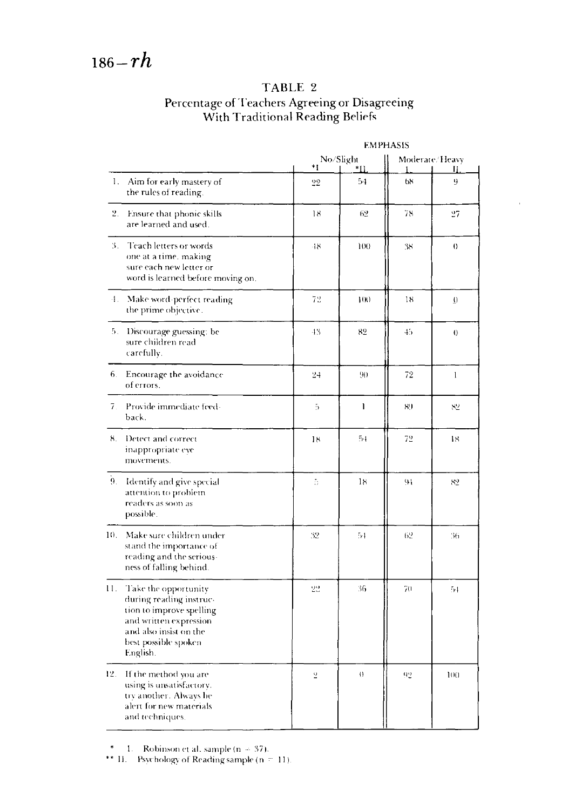# TABLE 2 Percentage of Teachers Agreeing or Disagreeing<br>With Traditional Reading Beliefs

| 1.             | Aim for early mastery of<br>the rules of reading.                                                                                                                   | No/Slight<br>*!<br>*11 |                   | Moderate/Heavy<br>Ш |          |
|----------------|---------------------------------------------------------------------------------------------------------------------------------------------------------------------|------------------------|-------------------|---------------------|----------|
|                |                                                                                                                                                                     | 22                     | 54                | 68                  | 9        |
| 2.             | Ensure that phonic skills<br>are learned and used.                                                                                                                  | 18                     | 62                | 78                  | 27       |
| 3.             | Teach letters or words<br>one at a time. making<br>sure each new letter or<br>word is learned before moving on.                                                     | $-18$                  | 100               | 38                  | $\Omega$ |
| 4.             | Make word-perfect reading<br>the prime objective.                                                                                                                   | 72                     | 100               | 18                  | $\Omega$ |
| 5.             | Discourage guessing: be<br>sure children read<br>carefully.                                                                                                         | $-13$                  | 82                | 45                  | $\theta$ |
|                | 6. Encourage the avoidance<br>of errors.                                                                                                                            | 24                     | 90                | 72                  | l        |
| 7.             | Provide immediate feed-<br>back.                                                                                                                                    | 5                      | <sup>1</sup>      | 89                  | 82       |
| 8.             | Detect and correct<br>inappropriate eye<br>movements.                                                                                                               | 18                     | $5-1$             | 72                  | 18       |
| 9 <sub>1</sub> | Identify and give special<br>attention to problem<br>readers as soon as<br>possible.                                                                                | ă                      | 18                | 91                  | 82       |
| 10.            | Make sure children under<br>stand the importance of<br>reading and the serious-<br>ness of falling behind.                                                          | 32                     | 54                | 62                  | 36       |
| П.             | Take the opportunity<br>during reading instruc-<br>tion to improve spelling<br>and written expression<br>and also insist on the<br>best possible spoken<br>English. | 22                     | 36                | 70                  | 54       |
| 12.            | If the method you are<br>using is unsatisfactory.<br>trv another. Always be<br>alert for new materials<br>and techniques.                                           | $\overline{2}$         | $\langle \rangle$ | 92                  | 100      |

**EMPHASIS** 

\* 1. Robinson et al. sample (n = 37).<br>\*\* II. Psychology of Reading sample (n = 11).